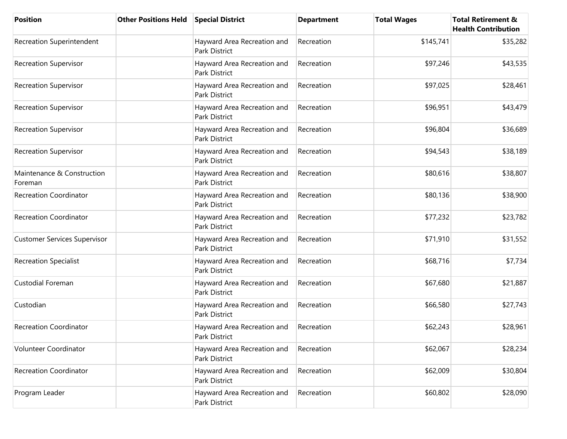| <b>Position</b>                       | <b>Other Positions Held</b> | <b>Special District</b>                             | <b>Department</b> | <b>Total Wages</b> | <b>Total Retirement &amp;</b><br><b>Health Contribution</b> |
|---------------------------------------|-----------------------------|-----------------------------------------------------|-------------------|--------------------|-------------------------------------------------------------|
| <b>Recreation Superintendent</b>      |                             | Hayward Area Recreation and<br><b>Park District</b> | Recreation        | \$145,741          | \$35,282                                                    |
| <b>Recreation Supervisor</b>          |                             | Hayward Area Recreation and<br><b>Park District</b> | Recreation        | \$97,246           | \$43,535                                                    |
| <b>Recreation Supervisor</b>          |                             | Hayward Area Recreation and<br><b>Park District</b> | Recreation        | \$97,025           | \$28,461                                                    |
| <b>Recreation Supervisor</b>          |                             | Hayward Area Recreation and<br>Park District        | Recreation        | \$96,951           | \$43,479                                                    |
| <b>Recreation Supervisor</b>          |                             | Hayward Area Recreation and<br>Park District        | Recreation        | \$96,804           | \$36,689                                                    |
| <b>Recreation Supervisor</b>          |                             | Hayward Area Recreation and<br>Park District        | Recreation        | \$94,543           | \$38,189                                                    |
| Maintenance & Construction<br>Foreman |                             | Hayward Area Recreation and<br>Park District        | Recreation        | \$80,616           | \$38,807                                                    |
| <b>Recreation Coordinator</b>         |                             | Hayward Area Recreation and<br>Park District        | Recreation        | \$80,136           | \$38,900                                                    |
| <b>Recreation Coordinator</b>         |                             | Hayward Area Recreation and<br>Park District        | Recreation        | \$77,232           | \$23,782                                                    |
| <b>Customer Services Supervisor</b>   |                             | Hayward Area Recreation and<br>Park District        | Recreation        | \$71,910           | \$31,552                                                    |
| <b>Recreation Specialist</b>          |                             | Hayward Area Recreation and<br>Park District        | Recreation        | \$68,716           | \$7,734                                                     |
| Custodial Foreman                     |                             | Hayward Area Recreation and<br>Park District        | Recreation        | \$67,680           | \$21,887                                                    |
| Custodian                             |                             | Hayward Area Recreation and<br>Park District        | Recreation        | \$66,580           | \$27,743                                                    |
| <b>Recreation Coordinator</b>         |                             | Hayward Area Recreation and<br>Park District        | Recreation        | \$62,243           | \$28,961                                                    |
| Volunteer Coordinator                 |                             | Hayward Area Recreation and<br>Park District        | Recreation        | \$62,067           | \$28,234                                                    |
| <b>Recreation Coordinator</b>         |                             | Hayward Area Recreation and<br><b>Park District</b> | Recreation        | \$62,009           | \$30,804                                                    |
| Program Leader                        |                             | Hayward Area Recreation and<br>Park District        | Recreation        | \$60,802           | \$28,090                                                    |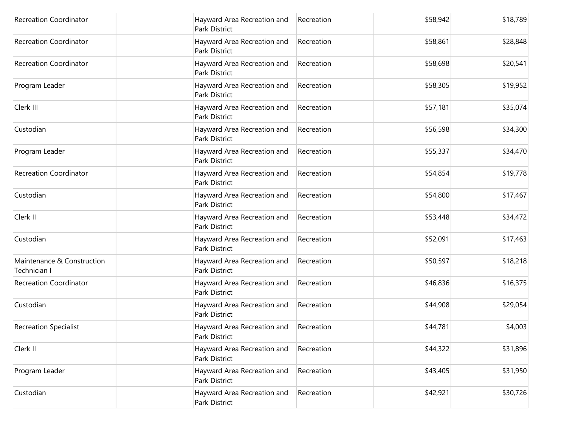| <b>Recreation Coordinator</b>              | Hayward Area Recreation and<br>Park District        | Recreation | \$58,942 | \$18,789 |
|--------------------------------------------|-----------------------------------------------------|------------|----------|----------|
| <b>Recreation Coordinator</b>              | Hayward Area Recreation and<br><b>Park District</b> | Recreation | \$58,861 | \$28,848 |
| <b>Recreation Coordinator</b>              | Hayward Area Recreation and<br>Park District        | Recreation | \$58,698 | \$20,541 |
| Program Leader                             | Hayward Area Recreation and<br>Park District        | Recreation | \$58,305 | \$19,952 |
| Clerk III                                  | Hayward Area Recreation and<br>Park District        | Recreation | \$57,181 | \$35,074 |
| Custodian                                  | Hayward Area Recreation and<br>Park District        | Recreation | \$56,598 | \$34,300 |
| Program Leader                             | Hayward Area Recreation and<br><b>Park District</b> | Recreation | \$55,337 | \$34,470 |
| <b>Recreation Coordinator</b>              | Hayward Area Recreation and<br>Park District        | Recreation | \$54,854 | \$19,778 |
| Custodian                                  | Hayward Area Recreation and<br><b>Park District</b> | Recreation | \$54,800 | \$17,467 |
| Clerk II                                   | Hayward Area Recreation and<br>Park District        | Recreation | \$53,448 | \$34,472 |
| Custodian                                  | Hayward Area Recreation and<br>Park District        | Recreation | \$52,091 | \$17,463 |
| Maintenance & Construction<br>Technician I | Hayward Area Recreation and<br>Park District        | Recreation | \$50,597 | \$18,218 |
| <b>Recreation Coordinator</b>              | Hayward Area Recreation and<br>Park District        | Recreation | \$46,836 | \$16,375 |
| Custodian                                  | Hayward Area Recreation and<br>Park District        | Recreation | \$44,908 | \$29,054 |
| <b>Recreation Specialist</b>               | Hayward Area Recreation and<br>Park District        | Recreation | \$44,781 | \$4,003  |
| Clerk II                                   | Hayward Area Recreation and<br>Park District        | Recreation | \$44,322 | \$31,896 |
| Program Leader                             | Hayward Area Recreation and<br>Park District        | Recreation | \$43,405 | \$31,950 |
| Custodian                                  | Hayward Area Recreation and<br>Park District        | Recreation | \$42,921 | \$30,726 |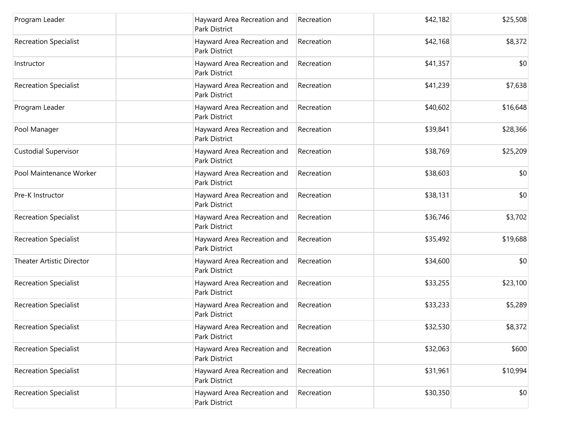| Program Leader                   | Hayward Area Recreation and<br>Park District | Recreation | \$42,182 | \$25,508 |
|----------------------------------|----------------------------------------------|------------|----------|----------|
| <b>Recreation Specialist</b>     | Hayward Area Recreation and<br>Park District | Recreation | \$42,168 | \$8,372  |
| Instructor                       | Hayward Area Recreation and<br>Park District | Recreation | \$41,357 | \$0      |
| <b>Recreation Specialist</b>     | Hayward Area Recreation and<br>Park District | Recreation | \$41,239 | \$7,638  |
| Program Leader                   | Hayward Area Recreation and<br>Park District | Recreation | \$40,602 | \$16,648 |
| Pool Manager                     | Hayward Area Recreation and<br>Park District | Recreation | \$39,841 | \$28,366 |
| Custodial Supervisor             | Hayward Area Recreation and<br>Park District | Recreation | \$38,769 | \$25,209 |
| Pool Maintenance Worker          | Hayward Area Recreation and<br>Park District | Recreation | \$38,603 | \$0      |
| Pre-K Instructor                 | Hayward Area Recreation and<br>Park District | Recreation | \$38,131 | \$0      |
| <b>Recreation Specialist</b>     | Hayward Area Recreation and<br>Park District | Recreation | \$36,746 | \$3,702  |
| <b>Recreation Specialist</b>     | Hayward Area Recreation and<br>Park District | Recreation | \$35,492 | \$19,688 |
| <b>Theater Artistic Director</b> | Hayward Area Recreation and<br>Park District | Recreation | \$34,600 | \$0      |
| <b>Recreation Specialist</b>     | Hayward Area Recreation and<br>Park District | Recreation | \$33,255 | \$23,100 |
| <b>Recreation Specialist</b>     | Hayward Area Recreation and<br>Park District | Recreation | \$33,233 | \$5,289  |
| <b>Recreation Specialist</b>     | Hayward Area Recreation and<br>Park District | Recreation | \$32,530 | \$8,372  |
| <b>Recreation Specialist</b>     | Hayward Area Recreation and<br>Park District | Recreation | \$32,063 | \$600    |
| <b>Recreation Specialist</b>     | Hayward Area Recreation and<br>Park District | Recreation | \$31,961 | \$10,994 |
| <b>Recreation Specialist</b>     | Hayward Area Recreation and<br>Park District | Recreation | \$30,350 | \$0      |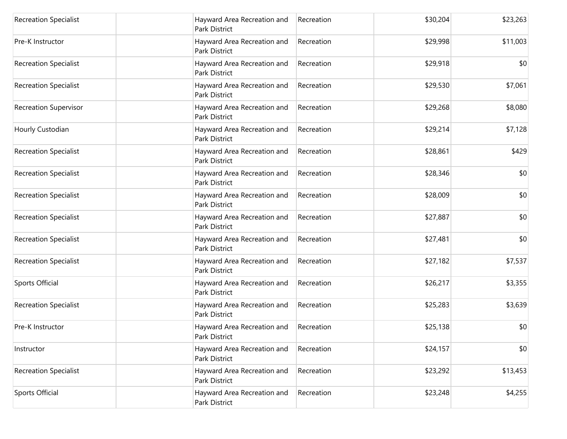| <b>Recreation Specialist</b> | Hayward Area Recreation and<br>Park District | Recreation | \$30,204 | \$23,263 |
|------------------------------|----------------------------------------------|------------|----------|----------|
| Pre-K Instructor             | Hayward Area Recreation and<br>Park District | Recreation | \$29,998 | \$11,003 |
| <b>Recreation Specialist</b> | Hayward Area Recreation and<br>Park District | Recreation | \$29,918 | \$0      |
| <b>Recreation Specialist</b> | Hayward Area Recreation and<br>Park District | Recreation | \$29,530 | \$7,061  |
| <b>Recreation Supervisor</b> | Hayward Area Recreation and<br>Park District | Recreation | \$29,268 | \$8,080  |
| Hourly Custodian             | Hayward Area Recreation and<br>Park District | Recreation | \$29,214 | \$7,128  |
| <b>Recreation Specialist</b> | Hayward Area Recreation and<br>Park District | Recreation | \$28,861 | \$429    |
| <b>Recreation Specialist</b> | Hayward Area Recreation and<br>Park District | Recreation | \$28,346 | \$0      |
| <b>Recreation Specialist</b> | Hayward Area Recreation and<br>Park District | Recreation | \$28,009 | \$0      |
| <b>Recreation Specialist</b> | Hayward Area Recreation and<br>Park District | Recreation | \$27,887 | \$0      |
| <b>Recreation Specialist</b> | Hayward Area Recreation and<br>Park District | Recreation | \$27,481 | \$0      |
| <b>Recreation Specialist</b> | Hayward Area Recreation and<br>Park District | Recreation | \$27,182 | \$7,537  |
| Sports Official              | Hayward Area Recreation and<br>Park District | Recreation | \$26,217 | \$3,355  |
| <b>Recreation Specialist</b> | Hayward Area Recreation and<br>Park District | Recreation | \$25,283 | \$3,639  |
| Pre-K Instructor             | Hayward Area Recreation and<br>Park District | Recreation | \$25,138 | \$0      |
| Instructor                   | Hayward Area Recreation and<br>Park District | Recreation | \$24,157 | \$0      |
| <b>Recreation Specialist</b> | Hayward Area Recreation and<br>Park District | Recreation | \$23,292 | \$13,453 |
| Sports Official              | Hayward Area Recreation and<br>Park District | Recreation | \$23,248 | \$4,255  |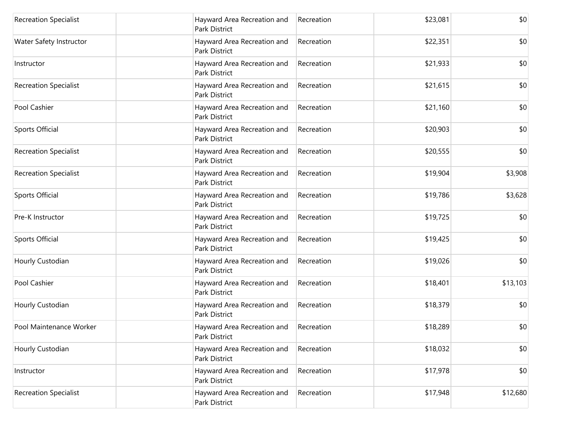| <b>Recreation Specialist</b> | Hayward Area Recreation and<br>Park District        | Recreation | \$23,081 | \$0      |
|------------------------------|-----------------------------------------------------|------------|----------|----------|
| Water Safety Instructor      | Hayward Area Recreation and<br>Park District        | Recreation | \$22,351 | \$0      |
| Instructor                   | Hayward Area Recreation and<br>Park District        | Recreation | \$21,933 | \$0      |
| <b>Recreation Specialist</b> | Hayward Area Recreation and<br>Park District        | Recreation | \$21,615 | \$0      |
| Pool Cashier                 | Hayward Area Recreation and<br>Park District        | Recreation | \$21,160 | \$0      |
| Sports Official              | Hayward Area Recreation and<br>Park District        | Recreation | \$20,903 | \$0      |
| <b>Recreation Specialist</b> | Hayward Area Recreation and<br>Park District        | Recreation | \$20,555 | \$0      |
| <b>Recreation Specialist</b> | Hayward Area Recreation and<br>Park District        | Recreation | \$19,904 | \$3,908  |
| Sports Official              | Hayward Area Recreation and<br>Park District        | Recreation | \$19,786 | \$3,628  |
| Pre-K Instructor             | Hayward Area Recreation and<br>Park District        | Recreation | \$19,725 | \$0      |
| <b>Sports Official</b>       | Hayward Area Recreation and<br>Park District        | Recreation | \$19,425 | \$0      |
| Hourly Custodian             | Hayward Area Recreation and<br>Park District        | Recreation | \$19,026 | \$0      |
| Pool Cashier                 | Hayward Area Recreation and<br><b>Park District</b> | Recreation | \$18,401 | \$13,103 |
| Hourly Custodian             | Hayward Area Recreation and<br>Park District        | Recreation | \$18,379 | \$0      |
| Pool Maintenance Worker      | Hayward Area Recreation and<br>Park District        | Recreation | \$18,289 | \$0      |
| Hourly Custodian             | Hayward Area Recreation and<br>Park District        | Recreation | \$18,032 | \$0      |
| Instructor                   | Hayward Area Recreation and<br>Park District        | Recreation | \$17,978 | \$0      |
| <b>Recreation Specialist</b> | Hayward Area Recreation and<br>Park District        | Recreation | \$17,948 | \$12,680 |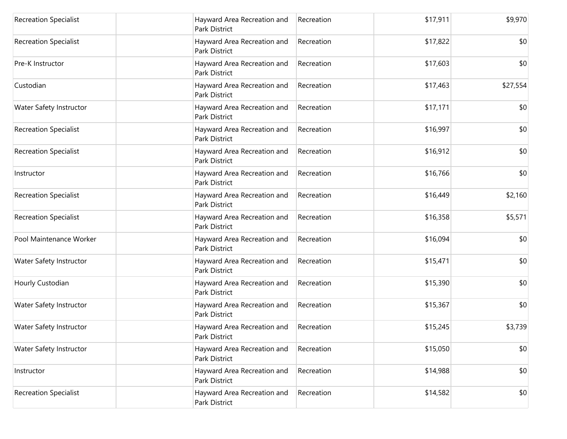| <b>Recreation Specialist</b> | Hayward Area Recreation and<br>Park District        | Recreation | \$17,911 | \$9,970  |
|------------------------------|-----------------------------------------------------|------------|----------|----------|
| <b>Recreation Specialist</b> | Hayward Area Recreation and<br>Park District        | Recreation | \$17,822 | \$0      |
| Pre-K Instructor             | Hayward Area Recreation and<br>Park District        | Recreation | \$17,603 | \$0      |
| Custodian                    | Hayward Area Recreation and<br>Park District        | Recreation | \$17,463 | \$27,554 |
| Water Safety Instructor      | Hayward Area Recreation and<br>Park District        | Recreation | \$17,171 | \$0      |
| <b>Recreation Specialist</b> | Hayward Area Recreation and<br>Park District        | Recreation | \$16,997 | \$0      |
| <b>Recreation Specialist</b> | Hayward Area Recreation and<br><b>Park District</b> | Recreation | \$16,912 | \$0      |
| Instructor                   | Hayward Area Recreation and<br>Park District        | Recreation | \$16,766 | \$0      |
| <b>Recreation Specialist</b> | Hayward Area Recreation and<br><b>Park District</b> | Recreation | \$16,449 | \$2,160  |
| <b>Recreation Specialist</b> | Hayward Area Recreation and<br>Park District        | Recreation | \$16,358 | \$5,571  |
| Pool Maintenance Worker      | Hayward Area Recreation and<br>Park District        | Recreation | \$16,094 | \$0      |
| Water Safety Instructor      | Hayward Area Recreation and<br><b>Park District</b> | Recreation | \$15,471 | \$0      |
| Hourly Custodian             | Hayward Area Recreation and<br>Park District        | Recreation | \$15,390 | \$0      |
| Water Safety Instructor      | Hayward Area Recreation and<br><b>Park District</b> | Recreation | \$15,367 | \$0      |
| Water Safety Instructor      | Hayward Area Recreation and<br>Park District        | Recreation | \$15,245 | \$3,739  |
| Water Safety Instructor      | Hayward Area Recreation and<br>Park District        | Recreation | \$15,050 | \$0      |
| Instructor                   | Hayward Area Recreation and<br><b>Park District</b> | Recreation | \$14,988 | \$0      |
| <b>Recreation Specialist</b> | Hayward Area Recreation and<br>Park District        | Recreation | \$14,582 | \$0      |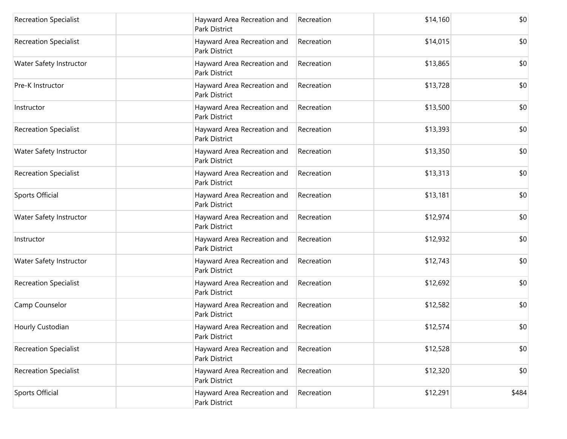| <b>Recreation Specialist</b> | Hayward Area Recreation and<br>Park District        | Recreation | \$14,160 | \$0   |
|------------------------------|-----------------------------------------------------|------------|----------|-------|
| <b>Recreation Specialist</b> | Hayward Area Recreation and<br><b>Park District</b> | Recreation | \$14,015 | \$0   |
| Water Safety Instructor      | Hayward Area Recreation and<br>Park District        | Recreation | \$13,865 | \$0   |
| Pre-K Instructor             | Hayward Area Recreation and<br>Park District        | Recreation | \$13,728 | \$0   |
| Instructor                   | Hayward Area Recreation and<br>Park District        | Recreation | \$13,500 | \$0   |
| <b>Recreation Specialist</b> | Hayward Area Recreation and<br>Park District        | Recreation | \$13,393 | \$0   |
| Water Safety Instructor      | Hayward Area Recreation and<br><b>Park District</b> | Recreation | \$13,350 | \$0   |
| <b>Recreation Specialist</b> | Hayward Area Recreation and<br>Park District        | Recreation | \$13,313 | \$0   |
| Sports Official              | Hayward Area Recreation and<br><b>Park District</b> | Recreation | \$13,181 | \$0   |
| Water Safety Instructor      | Hayward Area Recreation and<br>Park District        | Recreation | \$12,974 | \$0   |
| Instructor                   | Hayward Area Recreation and<br><b>Park District</b> | Recreation | \$12,932 | \$0   |
| Water Safety Instructor      | Hayward Area Recreation and<br>Park District        | Recreation | \$12,743 | \$0   |
| <b>Recreation Specialist</b> | Hayward Area Recreation and<br>Park District        | Recreation | \$12,692 | \$0   |
| Camp Counselor               | Hayward Area Recreation and<br><b>Park District</b> | Recreation | \$12,582 | \$0   |
| Hourly Custodian             | Hayward Area Recreation and<br>Park District        | Recreation | \$12,574 | \$0   |
| <b>Recreation Specialist</b> | Hayward Area Recreation and<br>Park District        | Recreation | \$12,528 | \$0   |
| <b>Recreation Specialist</b> | Hayward Area Recreation and<br>Park District        | Recreation | \$12,320 | \$0   |
| Sports Official              | Hayward Area Recreation and<br>Park District        | Recreation | \$12,291 | \$484 |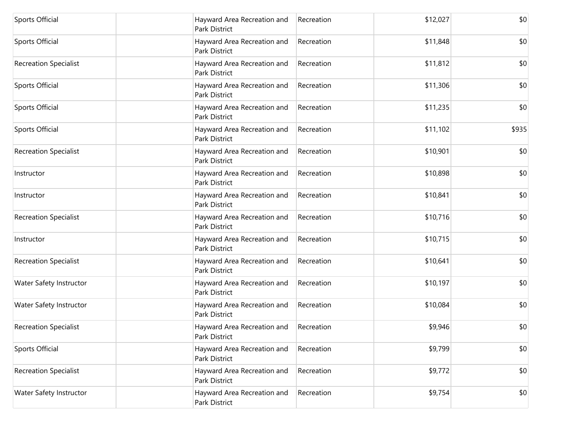| Sports Official              | Hayward Area Recreation and<br>Park District        | Recreation | \$12,027 | \$0   |
|------------------------------|-----------------------------------------------------|------------|----------|-------|
| Sports Official              | Hayward Area Recreation and<br><b>Park District</b> | Recreation | \$11,848 | \$0   |
| <b>Recreation Specialist</b> | Hayward Area Recreation and<br>Park District        | Recreation | \$11,812 | \$0   |
| Sports Official              | Hayward Area Recreation and<br>Park District        | Recreation | \$11,306 | \$0   |
| Sports Official              | Hayward Area Recreation and<br><b>Park District</b> | Recreation | \$11,235 | \$0   |
| Sports Official              | Hayward Area Recreation and<br><b>Park District</b> | Recreation | \$11,102 | \$935 |
| <b>Recreation Specialist</b> | Hayward Area Recreation and<br><b>Park District</b> | Recreation | \$10,901 | \$0   |
| Instructor                   | Hayward Area Recreation and<br>Park District        | Recreation | \$10,898 | \$0   |
| Instructor                   | Hayward Area Recreation and<br><b>Park District</b> | Recreation | \$10,841 | \$0   |
| <b>Recreation Specialist</b> | Hayward Area Recreation and<br>Park District        | Recreation | \$10,716 | \$0   |
| Instructor                   | Hayward Area Recreation and<br>Park District        | Recreation | \$10,715 | \$0   |
| <b>Recreation Specialist</b> | Hayward Area Recreation and<br>Park District        | Recreation | \$10,641 | \$0   |
| Water Safety Instructor      | Hayward Area Recreation and<br>Park District        | Recreation | \$10,197 | \$0   |
| Water Safety Instructor      | Hayward Area Recreation and<br><b>Park District</b> | Recreation | \$10,084 | \$0   |
| Recreation Specialist        | Hayward Area Recreation and<br>Park District        | Recreation | \$9,946  | \$0   |
| Sports Official              | Hayward Area Recreation and<br>Park District        | Recreation | \$9,799  | \$0   |
| <b>Recreation Specialist</b> | Hayward Area Recreation and<br><b>Park District</b> | Recreation | \$9,772  | \$0   |
| Water Safety Instructor      | Hayward Area Recreation and<br>Park District        | Recreation | \$9,754  | \$0   |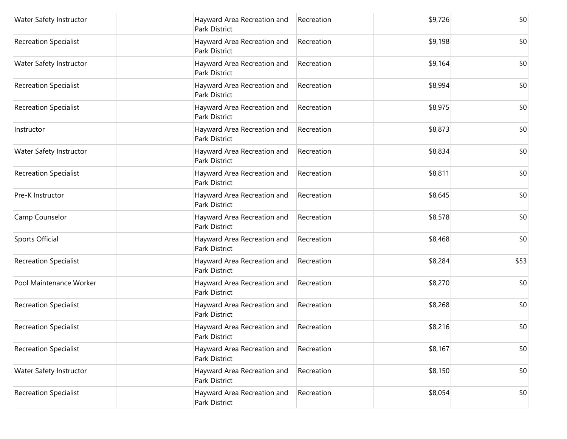| Water Safety Instructor      | Hayward Area Recreation and<br>Park District        | Recreation | \$9,726 | \$0  |
|------------------------------|-----------------------------------------------------|------------|---------|------|
| <b>Recreation Specialist</b> | Hayward Area Recreation and<br>Park District        | Recreation | \$9,198 | \$0  |
| Water Safety Instructor      | Hayward Area Recreation and<br>Park District        | Recreation | \$9,164 | \$0  |
| <b>Recreation Specialist</b> | Hayward Area Recreation and<br>Park District        | Recreation | \$8,994 | \$0  |
| <b>Recreation Specialist</b> | Hayward Area Recreation and<br><b>Park District</b> | Recreation | \$8,975 | \$0  |
| Instructor                   | Hayward Area Recreation and<br>Park District        | Recreation | \$8,873 | \$0  |
| Water Safety Instructor      | Hayward Area Recreation and<br>Park District        | Recreation | \$8,834 | \$0  |
| <b>Recreation Specialist</b> | Hayward Area Recreation and<br>Park District        | Recreation | \$8,811 | \$0  |
| Pre-K Instructor             | Hayward Area Recreation and<br>Park District        | Recreation | \$8,645 | \$0  |
| Camp Counselor               | Hayward Area Recreation and<br>Park District        | Recreation | \$8,578 | \$0  |
| Sports Official              | Hayward Area Recreation and<br>Park District        | Recreation | \$8,468 | \$0  |
| <b>Recreation Specialist</b> | Hayward Area Recreation and<br>Park District        | Recreation | \$8,284 | \$53 |
| Pool Maintenance Worker      | Hayward Area Recreation and<br>Park District        | Recreation | \$8,270 | \$0  |
| <b>Recreation Specialist</b> | Hayward Area Recreation and<br>Park District        | Recreation | \$8,268 | \$0  |
| <b>Recreation Specialist</b> | Hayward Area Recreation and<br>Park District        | Recreation | \$8,216 | \$0  |
| <b>Recreation Specialist</b> | Hayward Area Recreation and<br>Park District        | Recreation | \$8,167 | \$0  |
| Water Safety Instructor      | Hayward Area Recreation and<br>Park District        | Recreation | \$8,150 | \$0  |
| <b>Recreation Specialist</b> | Hayward Area Recreation and<br>Park District        | Recreation | \$8,054 | \$0  |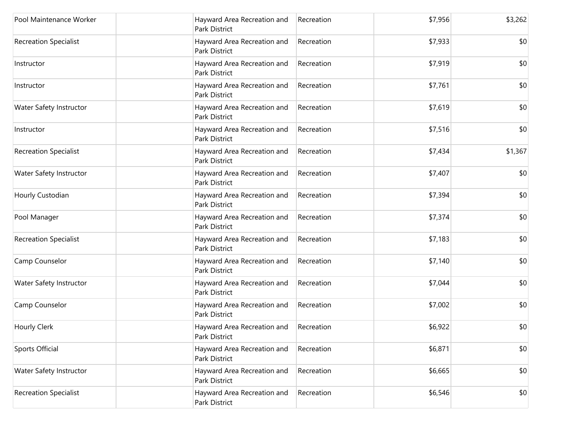| Pool Maintenance Worker      | Hayward Area Recreation and<br>Park District        | Recreation | \$7,956 | \$3,262 |
|------------------------------|-----------------------------------------------------|------------|---------|---------|
| <b>Recreation Specialist</b> | Hayward Area Recreation and<br>Park District        | Recreation | \$7,933 | \$0     |
| Instructor                   | Hayward Area Recreation and<br>Park District        | Recreation | \$7,919 | \$0     |
| Instructor                   | Hayward Area Recreation and<br>Park District        | Recreation | \$7,761 | \$0     |
| Water Safety Instructor      | Hayward Area Recreation and<br>Park District        | Recreation | \$7,619 | \$0     |
| Instructor                   | Hayward Area Recreation and<br><b>Park District</b> | Recreation | \$7,516 | \$0     |
| <b>Recreation Specialist</b> | Hayward Area Recreation and<br>Park District        | Recreation | \$7,434 | \$1,367 |
| Water Safety Instructor      | Hayward Area Recreation and<br>Park District        | Recreation | \$7,407 | \$0     |
| Hourly Custodian             | Hayward Area Recreation and<br>Park District        | Recreation | \$7,394 | \$0     |
| Pool Manager                 | Hayward Area Recreation and<br>Park District        | Recreation | \$7,374 | \$0     |
| <b>Recreation Specialist</b> | Hayward Area Recreation and<br>Park District        | Recreation | \$7,183 | \$0     |
| Camp Counselor               | Hayward Area Recreation and<br>Park District        | Recreation | \$7,140 | \$0     |
| Water Safety Instructor      | Hayward Area Recreation and<br>Park District        | Recreation | \$7,044 | \$0     |
| Camp Counselor               | Hayward Area Recreation and<br>Park District        | Recreation | \$7,002 | \$0     |
| Hourly Clerk                 | Hayward Area Recreation and<br>Park District        | Recreation | \$6,922 | \$0     |
| Sports Official              | Hayward Area Recreation and<br>Park District        | Recreation | \$6,871 | \$0     |
| Water Safety Instructor      | Hayward Area Recreation and<br>Park District        | Recreation | \$6,665 | \$0     |
| <b>Recreation Specialist</b> | Hayward Area Recreation and<br>Park District        | Recreation | \$6,546 | \$0     |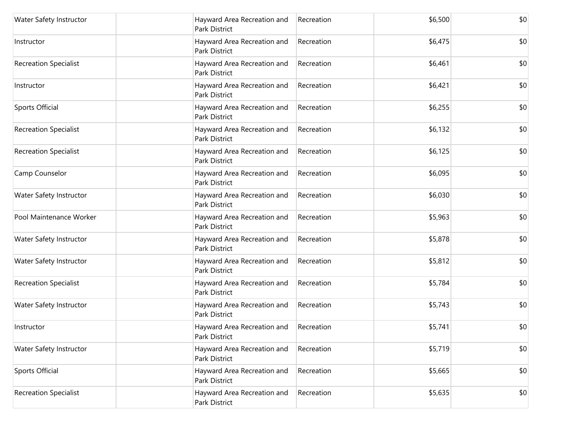| Water Safety Instructor      | Hayward Area Recreation and<br>Park District        | Recreation | \$6,500 | \$0 |
|------------------------------|-----------------------------------------------------|------------|---------|-----|
| Instructor                   | Hayward Area Recreation and<br>Park District        | Recreation | \$6,475 | \$0 |
| <b>Recreation Specialist</b> | Hayward Area Recreation and<br>Park District        | Recreation | \$6,461 | \$0 |
| Instructor                   | Hayward Area Recreation and<br>Park District        | Recreation | \$6,421 | \$0 |
| Sports Official              | Hayward Area Recreation and<br>Park District        | Recreation | \$6,255 | \$0 |
| <b>Recreation Specialist</b> | Hayward Area Recreation and<br>Park District        | Recreation | \$6,132 | \$0 |
| <b>Recreation Specialist</b> | Hayward Area Recreation and<br>Park District        | Recreation | \$6,125 | \$0 |
| Camp Counselor               | Hayward Area Recreation and<br>Park District        | Recreation | \$6,095 | \$0 |
| Water Safety Instructor      | Hayward Area Recreation and<br><b>Park District</b> | Recreation | \$6,030 | \$0 |
| Pool Maintenance Worker      | Hayward Area Recreation and<br>Park District        | Recreation | \$5,963 | \$0 |
| Water Safety Instructor      | Hayward Area Recreation and<br>Park District        | Recreation | \$5,878 | \$0 |
| Water Safety Instructor      | Hayward Area Recreation and<br>Park District        | Recreation | \$5,812 | \$0 |
| <b>Recreation Specialist</b> | Hayward Area Recreation and<br>Park District        | Recreation | \$5,784 | \$0 |
| Water Safety Instructor      | Hayward Area Recreation and<br>Park District        | Recreation | \$5,743 | \$0 |
| Instructor                   | Hayward Area Recreation and<br>Park District        | Recreation | \$5,741 | \$0 |
| Water Safety Instructor      | Hayward Area Recreation and<br>Park District        | Recreation | \$5,719 | \$0 |
| Sports Official              | Hayward Area Recreation and<br>Park District        | Recreation | \$5,665 | \$0 |
| <b>Recreation Specialist</b> | Hayward Area Recreation and<br>Park District        | Recreation | \$5,635 | \$0 |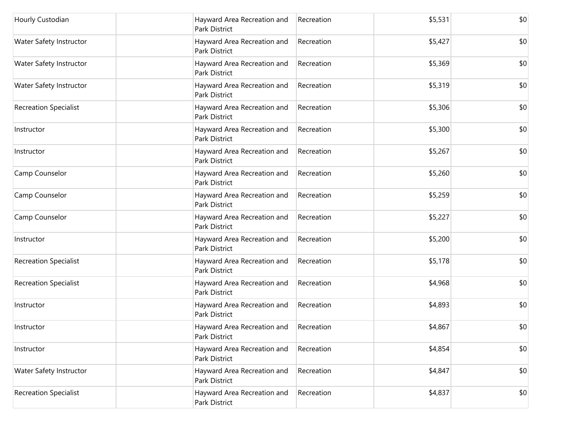| Hourly Custodian             | Hayward Area Recreation and<br>Park District        | Recreation | \$5,531 | \$0 |
|------------------------------|-----------------------------------------------------|------------|---------|-----|
| Water Safety Instructor      | Hayward Area Recreation and<br>Park District        | Recreation | \$5,427 | \$0 |
| Water Safety Instructor      | Hayward Area Recreation and<br>Park District        | Recreation | \$5,369 | \$0 |
| Water Safety Instructor      | Hayward Area Recreation and<br><b>Park District</b> | Recreation | \$5,319 | \$0 |
| <b>Recreation Specialist</b> | Hayward Area Recreation and<br>Park District        | Recreation | \$5,306 | \$0 |
| Instructor                   | Hayward Area Recreation and<br>Park District        | Recreation | \$5,300 | \$0 |
| Instructor                   | Hayward Area Recreation and<br>Park District        | Recreation | \$5,267 | \$0 |
| Camp Counselor               | Hayward Area Recreation and<br>Park District        | Recreation | \$5,260 | \$0 |
| Camp Counselor               | Hayward Area Recreation and<br>Park District        | Recreation | \$5,259 | \$0 |
| Camp Counselor               | Hayward Area Recreation and<br>Park District        | Recreation | \$5,227 | \$0 |
| Instructor                   | Hayward Area Recreation and<br>Park District        | Recreation | \$5,200 | \$0 |
| <b>Recreation Specialist</b> | Hayward Area Recreation and<br>Park District        | Recreation | \$5,178 | \$0 |
| <b>Recreation Specialist</b> | Hayward Area Recreation and<br>Park District        | Recreation | \$4,968 | \$0 |
| Instructor                   | Hayward Area Recreation and<br>Park District        | Recreation | \$4,893 | \$0 |
| Instructor                   | Hayward Area Recreation and<br>Park District        | Recreation | \$4,867 | \$0 |
| Instructor                   | Hayward Area Recreation and<br>Park District        | Recreation | \$4,854 | \$0 |
| Water Safety Instructor      | Hayward Area Recreation and<br>Park District        | Recreation | \$4,847 | \$0 |
| <b>Recreation Specialist</b> | Hayward Area Recreation and<br>Park District        | Recreation | \$4,837 | \$0 |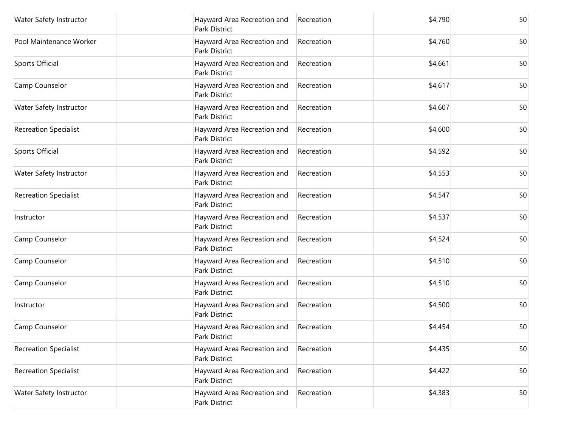| Water Safety Instructor      | Hayward Area Recreation and<br>Park District        | Recreation | \$4,790 | \$0 |
|------------------------------|-----------------------------------------------------|------------|---------|-----|
| Pool Maintenance Worker      | Hayward Area Recreation and<br>Park District        | Recreation | \$4,760 | \$0 |
| Sports Official              | Hayward Area Recreation and<br>Park District        | Recreation | \$4,661 | \$0 |
| Camp Counselor               | Hayward Area Recreation and<br>Park District        | Recreation | \$4,617 | \$0 |
| Water Safety Instructor      | Hayward Area Recreation and<br>Park District        | Recreation | \$4,607 | \$0 |
| <b>Recreation Specialist</b> | Hayward Area Recreation and<br>Park District        | Recreation | \$4,600 | \$0 |
| Sports Official              | Hayward Area Recreation and<br>Park District        | Recreation | \$4,592 | \$0 |
| Water Safety Instructor      | Hayward Area Recreation and<br>Park District        | Recreation | \$4,553 | \$0 |
| <b>Recreation Specialist</b> | Hayward Area Recreation and<br><b>Park District</b> | Recreation | \$4,547 | \$0 |
| Instructor                   | Hayward Area Recreation and<br>Park District        | Recreation | \$4,537 | \$0 |
| Camp Counselor               | Hayward Area Recreation and<br>Park District        | Recreation | \$4,524 | \$0 |
| Camp Counselor               | Hayward Area Recreation and<br>Park District        | Recreation | \$4,510 | \$0 |
| Camp Counselor               | Hayward Area Recreation and<br>Park District        | Recreation | \$4,510 | \$0 |
| Instructor                   | Hayward Area Recreation and<br>Park District        | Recreation | \$4,500 | \$0 |
| Camp Counselor               | Hayward Area Recreation and<br>Park District        | Recreation | \$4,454 | \$0 |
| <b>Recreation Specialist</b> | Hayward Area Recreation and<br>Park District        | Recreation | \$4,435 | \$0 |
| <b>Recreation Specialist</b> | Hayward Area Recreation and<br><b>Park District</b> | Recreation | \$4,422 | \$0 |
| Water Safety Instructor      | Hayward Area Recreation and<br>Park District        | Recreation | \$4,383 | \$0 |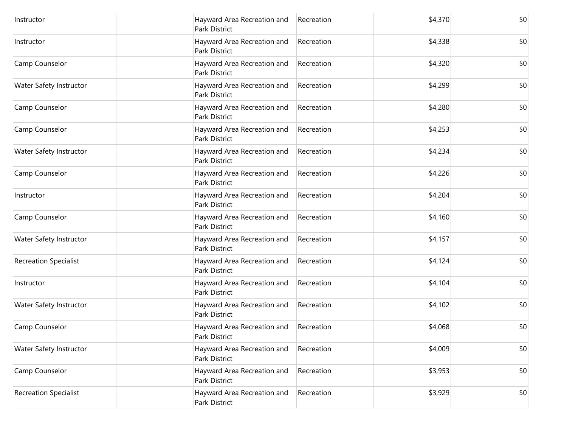| Instructor                   | Hayward Area Recreation and<br>Park District        | Recreation | \$4,370 | \$0 |
|------------------------------|-----------------------------------------------------|------------|---------|-----|
| Instructor                   | Hayward Area Recreation and<br><b>Park District</b> | Recreation | \$4,338 | \$0 |
| Camp Counselor               | Hayward Area Recreation and<br>Park District        | Recreation | \$4,320 | \$0 |
| Water Safety Instructor      | Hayward Area Recreation and<br>Park District        | Recreation | \$4,299 | \$0 |
| Camp Counselor               | Hayward Area Recreation and<br><b>Park District</b> | Recreation | \$4,280 | \$0 |
| Camp Counselor               | Hayward Area Recreation and<br>Park District        | Recreation | \$4,253 | \$0 |
| Water Safety Instructor      | Hayward Area Recreation and<br><b>Park District</b> | Recreation | \$4,234 | \$0 |
| Camp Counselor               | Hayward Area Recreation and<br>Park District        | Recreation | \$4,226 | \$0 |
| Instructor                   | Hayward Area Recreation and<br><b>Park District</b> | Recreation | \$4,204 | \$0 |
| Camp Counselor               | Hayward Area Recreation and<br>Park District        | Recreation | \$4,160 | \$0 |
| Water Safety Instructor      | Hayward Area Recreation and<br>Park District        | Recreation | \$4,157 | \$0 |
| <b>Recreation Specialist</b> | Hayward Area Recreation and<br><b>Park District</b> | Recreation | \$4,124 | \$0 |
| Instructor                   | Hayward Area Recreation and<br><b>Park District</b> | Recreation | \$4,104 | \$0 |
| Water Safety Instructor      | Hayward Area Recreation and<br><b>Park District</b> | Recreation | \$4,102 | \$0 |
| Camp Counselor               | Hayward Area Recreation and<br>Park District        | Recreation | \$4,068 | \$0 |
| Water Safety Instructor      | Hayward Area Recreation and<br>Park District        | Recreation | \$4,009 | \$0 |
| Camp Counselor               | Hayward Area Recreation and<br>Park District        | Recreation | \$3,953 | \$0 |
| <b>Recreation Specialist</b> | Hayward Area Recreation and<br>Park District        | Recreation | \$3,929 | \$0 |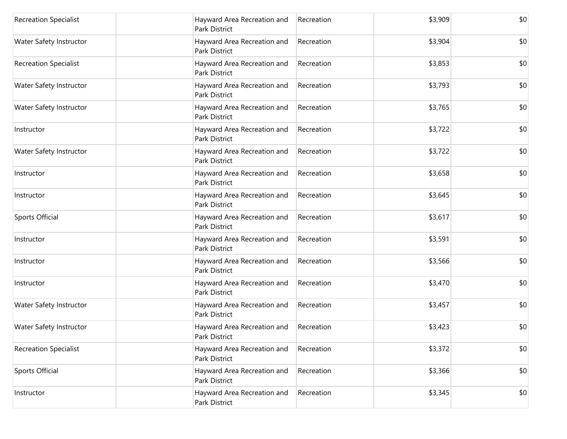| <b>Recreation Specialist</b> | Hayward Area Recreation and<br>Park District        | Recreation | \$3,909 | \$0 |
|------------------------------|-----------------------------------------------------|------------|---------|-----|
| Water Safety Instructor      | Hayward Area Recreation and<br><b>Park District</b> | Recreation | \$3,904 | \$0 |
| <b>Recreation Specialist</b> | Hayward Area Recreation and<br>Park District        | Recreation | \$3,853 | \$0 |
| Water Safety Instructor      | Hayward Area Recreation and<br>Park District        | Recreation | \$3,793 | \$0 |
| Water Safety Instructor      | Hayward Area Recreation and<br>Park District        | Recreation | \$3,765 | \$0 |
| Instructor                   | Hayward Area Recreation and<br>Park District        | Recreation | \$3,722 | \$0 |
| Water Safety Instructor      | Hayward Area Recreation and<br><b>Park District</b> | Recreation | \$3,722 | \$0 |
| Instructor                   | Hayward Area Recreation and<br>Park District        | Recreation | \$3,658 | \$0 |
| Instructor                   | Hayward Area Recreation and<br><b>Park District</b> | Recreation | \$3,645 | \$0 |
| Sports Official              | Hayward Area Recreation and<br>Park District        | Recreation | \$3,617 | \$0 |
| Instructor                   | Hayward Area Recreation and<br><b>Park District</b> | Recreation | \$3,591 | \$0 |
| Instructor                   | Hayward Area Recreation and<br>Park District        | Recreation | \$3,566 | \$0 |
| Instructor                   | Hayward Area Recreation and<br>Park District        | Recreation | \$3,470 | \$0 |
| Water Safety Instructor      | Hayward Area Recreation and<br><b>Park District</b> | Recreation | \$3,457 | \$0 |
| Water Safety Instructor      | Hayward Area Recreation and<br>Park District        | Recreation | \$3,423 | \$0 |
| <b>Recreation Specialist</b> | Hayward Area Recreation and<br>Park District        | Recreation | \$3,372 | \$0 |
| Sports Official              | Hayward Area Recreation and<br>Park District        | Recreation | \$3,366 | \$0 |
| Instructor                   | Hayward Area Recreation and<br>Park District        | Recreation | \$3,345 | \$0 |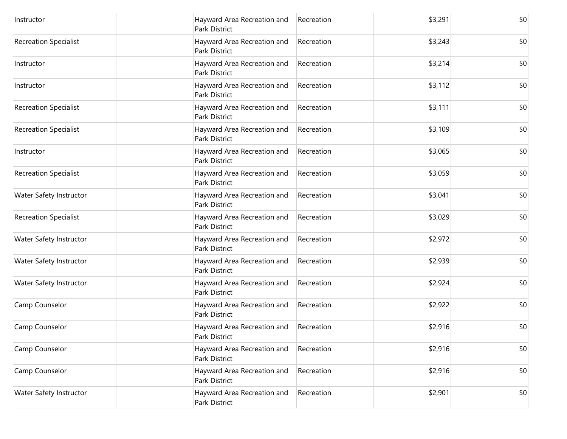| Instructor                   | Hayward Area Recreation and<br><b>Park District</b> | Recreation | \$3,291 | \$0 |
|------------------------------|-----------------------------------------------------|------------|---------|-----|
| <b>Recreation Specialist</b> | Hayward Area Recreation and<br>Park District        | Recreation | \$3,243 | \$0 |
| Instructor                   | Hayward Area Recreation and<br>Park District        | Recreation | \$3,214 | \$0 |
| Instructor                   | Hayward Area Recreation and<br>Park District        | Recreation | \$3,112 | \$0 |
| <b>Recreation Specialist</b> | Hayward Area Recreation and<br>Park District        | Recreation | \$3,111 | \$0 |
| <b>Recreation Specialist</b> | Hayward Area Recreation and<br>Park District        | Recreation | \$3,109 | \$0 |
| Instructor                   | Hayward Area Recreation and<br><b>Park District</b> | Recreation | \$3,065 | \$0 |
| <b>Recreation Specialist</b> | Hayward Area Recreation and<br>Park District        | Recreation | \$3,059 | \$0 |
| Water Safety Instructor      | Hayward Area Recreation and<br><b>Park District</b> | Recreation | \$3,041 | \$0 |
| <b>Recreation Specialist</b> | Hayward Area Recreation and<br>Park District        | Recreation | \$3,029 | \$0 |
| Water Safety Instructor      | Hayward Area Recreation and<br><b>Park District</b> | Recreation | \$2,972 | \$0 |
| Water Safety Instructor      | Hayward Area Recreation and<br><b>Park District</b> | Recreation | \$2,939 | \$0 |
| Water Safety Instructor      | Hayward Area Recreation and<br>Park District        | Recreation | \$2,924 | \$0 |
| Camp Counselor               | Hayward Area Recreation and<br><b>Park District</b> | Recreation | \$2,922 | \$0 |
| Camp Counselor               | Hayward Area Recreation and<br>Park District        | Recreation | \$2,916 | \$0 |
| Camp Counselor               | Hayward Area Recreation and<br>Park District        | Recreation | \$2,916 | \$0 |
| Camp Counselor               | Hayward Area Recreation and<br>Park District        | Recreation | \$2,916 | \$0 |
| Water Safety Instructor      | Hayward Area Recreation and<br>Park District        | Recreation | \$2,901 | \$0 |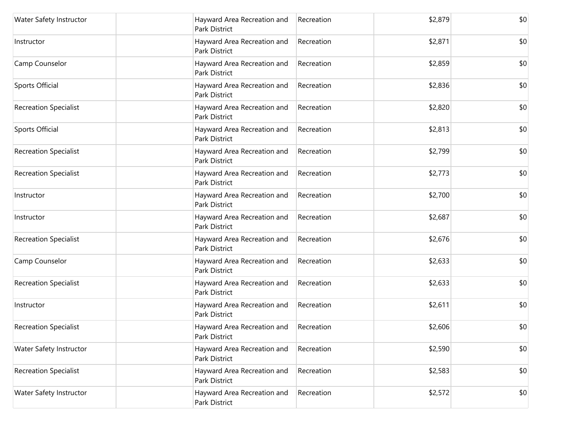| Water Safety Instructor      | Hayward Area Recreation and<br>Park District        | Recreation | \$2,879 | \$0 |
|------------------------------|-----------------------------------------------------|------------|---------|-----|
| Instructor                   | Hayward Area Recreation and<br><b>Park District</b> | Recreation | \$2,871 | \$0 |
| Camp Counselor               | Hayward Area Recreation and<br>Park District        | Recreation | \$2,859 | \$0 |
| Sports Official              | Hayward Area Recreation and<br>Park District        | Recreation | \$2,836 | \$0 |
| <b>Recreation Specialist</b> | Hayward Area Recreation and<br><b>Park District</b> | Recreation | \$2,820 | \$0 |
| Sports Official              | Hayward Area Recreation and<br>Park District        | Recreation | \$2,813 | \$0 |
| <b>Recreation Specialist</b> | Hayward Area Recreation and<br><b>Park District</b> | Recreation | \$2,799 | \$0 |
| <b>Recreation Specialist</b> | Hayward Area Recreation and<br>Park District        | Recreation | \$2,773 | \$0 |
| Instructor                   | Hayward Area Recreation and<br><b>Park District</b> | Recreation | \$2,700 | \$0 |
| Instructor                   | Hayward Area Recreation and<br>Park District        | Recreation | \$2,687 | \$0 |
| <b>Recreation Specialist</b> | Hayward Area Recreation and<br><b>Park District</b> | Recreation | \$2,676 | \$0 |
| Camp Counselor               | Hayward Area Recreation and<br>Park District        | Recreation | \$2,633 | \$0 |
| <b>Recreation Specialist</b> | Hayward Area Recreation and<br>Park District        | Recreation | \$2,633 | \$0 |
| Instructor                   | Hayward Area Recreation and<br><b>Park District</b> | Recreation | \$2,611 | \$0 |
| <b>Recreation Specialist</b> | Hayward Area Recreation and<br>Park District        | Recreation | \$2,606 | \$0 |
| Water Safety Instructor      | Hayward Area Recreation and<br>Park District        | Recreation | \$2,590 | \$0 |
| <b>Recreation Specialist</b> | Hayward Area Recreation and<br><b>Park District</b> | Recreation | \$2,583 | \$0 |
| Water Safety Instructor      | Hayward Area Recreation and<br>Park District        | Recreation | \$2,572 | \$0 |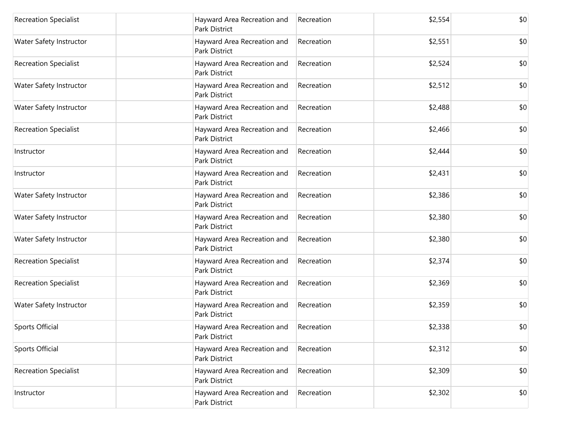| <b>Recreation Specialist</b> | Hayward Area Recreation and<br>Park District        | Recreation | \$2,554 | \$0 |
|------------------------------|-----------------------------------------------------|------------|---------|-----|
| Water Safety Instructor      | Hayward Area Recreation and<br><b>Park District</b> | Recreation | \$2,551 | \$0 |
| <b>Recreation Specialist</b> | Hayward Area Recreation and<br>Park District        | Recreation | \$2,524 | \$0 |
| Water Safety Instructor      | Hayward Area Recreation and<br>Park District        | Recreation | \$2,512 | \$0 |
| Water Safety Instructor      | Hayward Area Recreation and<br>Park District        | Recreation | \$2,488 | \$0 |
| <b>Recreation Specialist</b> | Hayward Area Recreation and<br>Park District        | Recreation | \$2,466 | \$0 |
| Instructor                   | Hayward Area Recreation and<br><b>Park District</b> | Recreation | \$2,444 | \$0 |
| Instructor                   | Hayward Area Recreation and<br>Park District        | Recreation | \$2,431 | \$0 |
| Water Safety Instructor      | Hayward Area Recreation and<br><b>Park District</b> | Recreation | \$2,386 | \$0 |
| Water Safety Instructor      | Hayward Area Recreation and<br>Park District        | Recreation | \$2,380 | \$0 |
| Water Safety Instructor      | Hayward Area Recreation and<br><b>Park District</b> | Recreation | \$2,380 | \$0 |
| <b>Recreation Specialist</b> | Hayward Area Recreation and<br>Park District        | Recreation | \$2,374 | \$0 |
| <b>Recreation Specialist</b> | Hayward Area Recreation and<br>Park District        | Recreation | \$2,369 | \$0 |
| Water Safety Instructor      | Hayward Area Recreation and<br><b>Park District</b> | Recreation | \$2,359 | \$0 |
| Sports Official              | Hayward Area Recreation and<br>Park District        | Recreation | \$2,338 | \$0 |
| Sports Official              | Hayward Area Recreation and<br>Park District        | Recreation | \$2,312 | \$0 |
| <b>Recreation Specialist</b> | Hayward Area Recreation and<br>Park District        | Recreation | \$2,309 | \$0 |
| Instructor                   | Hayward Area Recreation and<br>Park District        | Recreation | \$2,302 | \$0 |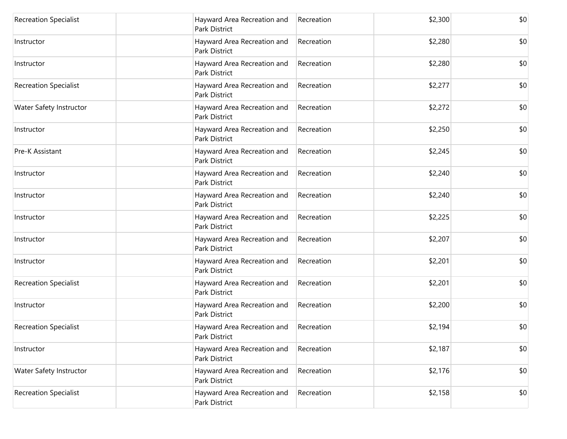| <b>Recreation Specialist</b> | Hayward Area Recreation and<br>Park District        | Recreation | \$2,300 | \$0 |
|------------------------------|-----------------------------------------------------|------------|---------|-----|
| Instructor                   | Hayward Area Recreation and<br><b>Park District</b> | Recreation | \$2,280 | \$0 |
| Instructor                   | Hayward Area Recreation and<br>Park District        | Recreation | \$2,280 | \$0 |
| <b>Recreation Specialist</b> | Hayward Area Recreation and<br>Park District        | Recreation | \$2,277 | \$0 |
| Water Safety Instructor      | Hayward Area Recreation and<br><b>Park District</b> | Recreation | \$2,272 | \$0 |
| Instructor                   | Hayward Area Recreation and<br>Park District        | Recreation | \$2,250 | \$0 |
| Pre-K Assistant              | Hayward Area Recreation and<br><b>Park District</b> | Recreation | \$2,245 | \$0 |
| Instructor                   | Hayward Area Recreation and<br>Park District        | Recreation | \$2,240 | \$0 |
| Instructor                   | Hayward Area Recreation and<br><b>Park District</b> | Recreation | \$2,240 | \$0 |
| Instructor                   | Hayward Area Recreation and<br>Park District        | Recreation | \$2,225 | \$0 |
| Instructor                   | Hayward Area Recreation and<br><b>Park District</b> | Recreation | \$2,207 | \$0 |
| Instructor                   | Hayward Area Recreation and<br>Park District        | Recreation | \$2,201 | \$0 |
| <b>Recreation Specialist</b> | Hayward Area Recreation and<br>Park District        | Recreation | \$2,201 | \$0 |
| Instructor                   | Hayward Area Recreation and<br><b>Park District</b> | Recreation | \$2,200 | \$0 |
| <b>Recreation Specialist</b> | Hayward Area Recreation and<br>Park District        | Recreation | \$2,194 | \$0 |
| Instructor                   | Hayward Area Recreation and<br>Park District        | Recreation | \$2,187 | \$0 |
| Water Safety Instructor      | Hayward Area Recreation and<br>Park District        | Recreation | \$2,176 | \$0 |
| <b>Recreation Specialist</b> | Hayward Area Recreation and<br>Park District        | Recreation | \$2,158 | \$0 |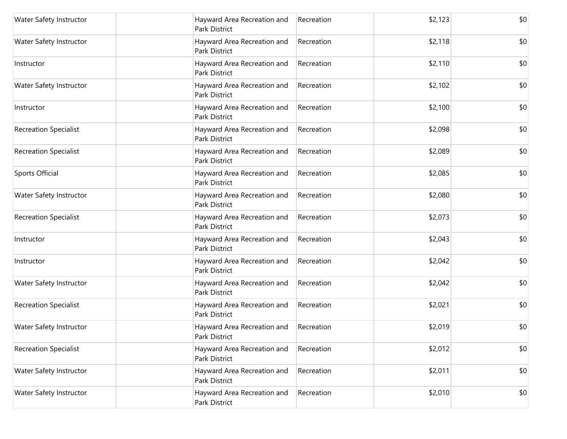| Water Safety Instructor      | Hayward Area Recreation and<br>Park District        | Recreation | \$2,123 | \$0 |
|------------------------------|-----------------------------------------------------|------------|---------|-----|
| Water Safety Instructor      | Hayward Area Recreation and<br><b>Park District</b> | Recreation | \$2,118 | \$0 |
| Instructor                   | Hayward Area Recreation and<br>Park District        | Recreation | \$2,110 | \$0 |
| Water Safety Instructor      | Hayward Area Recreation and<br>Park District        | Recreation | \$2,102 | \$0 |
| Instructor                   | Hayward Area Recreation and<br>Park District        | Recreation | \$2,100 | \$0 |
| <b>Recreation Specialist</b> | Hayward Area Recreation and<br>Park District        | Recreation | \$2,098 | \$0 |
| <b>Recreation Specialist</b> | Hayward Area Recreation and<br><b>Park District</b> | Recreation | \$2,089 | \$0 |
| Sports Official              | Hayward Area Recreation and<br>Park District        | Recreation | \$2,085 | \$0 |
| Water Safety Instructor      | Hayward Area Recreation and<br><b>Park District</b> | Recreation | \$2,080 | \$0 |
| <b>Recreation Specialist</b> | Hayward Area Recreation and<br>Park District        | Recreation | \$2,073 | \$0 |
| Instructor                   | Hayward Area Recreation and<br><b>Park District</b> | Recreation | \$2,043 | \$0 |
| Instructor                   | Hayward Area Recreation and<br>Park District        | Recreation | \$2,042 | \$0 |
| Water Safety Instructor      | Hayward Area Recreation and<br>Park District        | Recreation | \$2,042 | \$0 |
| <b>Recreation Specialist</b> | Hayward Area Recreation and<br><b>Park District</b> | Recreation | \$2,021 | \$0 |
| Water Safety Instructor      | Hayward Area Recreation and<br>Park District        | Recreation | \$2,019 | \$0 |
| <b>Recreation Specialist</b> | Hayward Area Recreation and<br>Park District        | Recreation | \$2,012 | \$0 |
| Water Safety Instructor      | Hayward Area Recreation and<br><b>Park District</b> | Recreation | \$2,011 | \$0 |
| Water Safety Instructor      | Hayward Area Recreation and<br>Park District        | Recreation | \$2,010 | \$0 |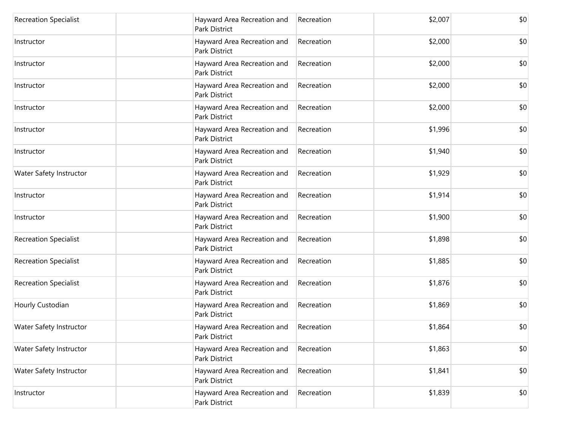| <b>Recreation Specialist</b> | Hayward Area Recreation and<br>Park District        | Recreation | \$2,007 | \$0 |
|------------------------------|-----------------------------------------------------|------------|---------|-----|
| Instructor                   | Hayward Area Recreation and<br><b>Park District</b> | Recreation | \$2,000 | \$0 |
| Instructor                   | Hayward Area Recreation and<br>Park District        | Recreation | \$2,000 | \$0 |
| Instructor                   | Hayward Area Recreation and<br>Park District        | Recreation | \$2,000 | \$0 |
| Instructor                   | Hayward Area Recreation and<br><b>Park District</b> | Recreation | \$2,000 | \$0 |
| Instructor                   | Hayward Area Recreation and<br>Park District        | Recreation | \$1,996 | \$0 |
| Instructor                   | Hayward Area Recreation and<br><b>Park District</b> | Recreation | \$1,940 | \$0 |
| Water Safety Instructor      | Hayward Area Recreation and<br>Park District        | Recreation | \$1,929 | \$0 |
| Instructor                   | Hayward Area Recreation and<br><b>Park District</b> | Recreation | \$1,914 | \$0 |
| Instructor                   | Hayward Area Recreation and<br>Park District        | Recreation | \$1,900 | \$0 |
| <b>Recreation Specialist</b> | Hayward Area Recreation and<br>Park District        | Recreation | \$1,898 | \$0 |
| <b>Recreation Specialist</b> | Hayward Area Recreation and<br>Park District        | Recreation | \$1,885 | \$0 |
| <b>Recreation Specialist</b> | Hayward Area Recreation and<br><b>Park District</b> | Recreation | \$1,876 | \$0 |
| Hourly Custodian             | Hayward Area Recreation and<br>Park District        | Recreation | \$1,869 | \$0 |
| Water Safety Instructor      | Hayward Area Recreation and<br>Park District        | Recreation | \$1,864 | \$0 |
| Water Safety Instructor      | Hayward Area Recreation and<br>Park District        | Recreation | \$1,863 | \$0 |
| Water Safety Instructor      | Hayward Area Recreation and<br>Park District        | Recreation | \$1,841 | \$0 |
| Instructor                   | Hayward Area Recreation and<br>Park District        | Recreation | \$1,839 | \$0 |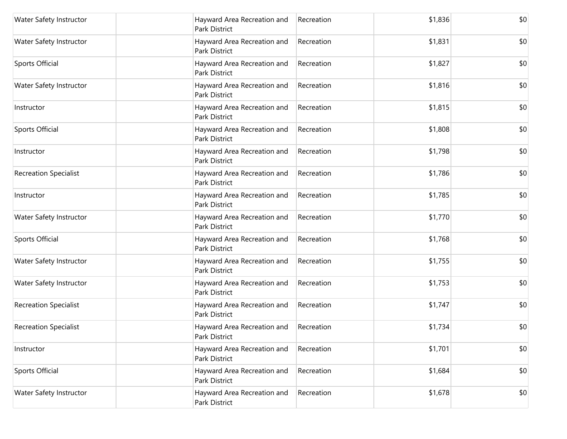| Water Safety Instructor      | Hayward Area Recreation and<br>Park District        | Recreation | \$1,836 | \$0 |
|------------------------------|-----------------------------------------------------|------------|---------|-----|
| Water Safety Instructor      | Hayward Area Recreation and<br>Park District        | Recreation | \$1,831 | \$0 |
| Sports Official              | Hayward Area Recreation and<br>Park District        | Recreation | \$1,827 | \$0 |
| Water Safety Instructor      | Hayward Area Recreation and<br>Park District        | Recreation | \$1,816 | \$0 |
| Instructor                   | Hayward Area Recreation and<br>Park District        | Recreation | \$1,815 | \$0 |
| Sports Official              | Hayward Area Recreation and<br>Park District        | Recreation | \$1,808 | \$0 |
| Instructor                   | Hayward Area Recreation and<br>Park District        | Recreation | \$1,798 | \$0 |
| <b>Recreation Specialist</b> | Hayward Area Recreation and<br>Park District        | Recreation | \$1,786 | \$0 |
| Instructor                   | Hayward Area Recreation and<br><b>Park District</b> | Recreation | \$1,785 | \$0 |
| Water Safety Instructor      | Hayward Area Recreation and<br>Park District        | Recreation | \$1,770 | \$0 |
| Sports Official              | Hayward Area Recreation and<br>Park District        | Recreation | \$1,768 | \$0 |
| Water Safety Instructor      | Hayward Area Recreation and<br>Park District        | Recreation | \$1,755 | \$0 |
| Water Safety Instructor      | Hayward Area Recreation and<br>Park District        | Recreation | \$1,753 | \$0 |
| <b>Recreation Specialist</b> | Hayward Area Recreation and<br>Park District        | Recreation | \$1,747 | \$0 |
| <b>Recreation Specialist</b> | Hayward Area Recreation and<br>Park District        | Recreation | \$1,734 | \$0 |
| Instructor                   | Hayward Area Recreation and<br>Park District        | Recreation | \$1,701 | \$0 |
| Sports Official              | Hayward Area Recreation and<br>Park District        | Recreation | \$1,684 | \$0 |
| Water Safety Instructor      | Hayward Area Recreation and<br>Park District        | Recreation | \$1,678 | \$0 |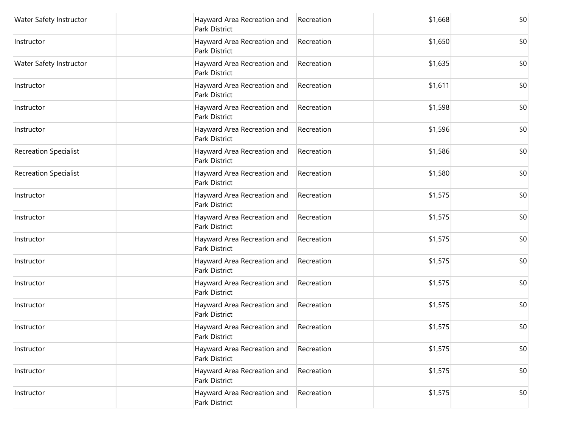| Water Safety Instructor      | Hayward Area Recreation and<br>Park District        | Recreation | \$1,668 | \$0 |
|------------------------------|-----------------------------------------------------|------------|---------|-----|
| Instructor                   | Hayward Area Recreation and<br>Park District        | Recreation | \$1,650 | \$0 |
| Water Safety Instructor      | Hayward Area Recreation and<br>Park District        | Recreation | \$1,635 | \$0 |
| Instructor                   | Hayward Area Recreation and<br>Park District        | Recreation | \$1,611 | \$0 |
| Instructor                   | Hayward Area Recreation and<br>Park District        | Recreation | \$1,598 | \$0 |
| Instructor                   | Hayward Area Recreation and<br>Park District        | Recreation | \$1,596 | \$0 |
| <b>Recreation Specialist</b> | Hayward Area Recreation and<br>Park District        | Recreation | \$1,586 | \$0 |
| <b>Recreation Specialist</b> | Hayward Area Recreation and<br>Park District        | Recreation | \$1,580 | \$0 |
| Instructor                   | Hayward Area Recreation and<br><b>Park District</b> | Recreation | \$1,575 | \$0 |
| Instructor                   | Hayward Area Recreation and<br>Park District        | Recreation | \$1,575 | \$0 |
| Instructor                   | Hayward Area Recreation and<br><b>Park District</b> | Recreation | \$1,575 | \$0 |
| Instructor                   | Hayward Area Recreation and<br>Park District        | Recreation | \$1,575 | \$0 |
| Instructor                   | Hayward Area Recreation and<br>Park District        | Recreation | \$1,575 | \$0 |
| Instructor                   | Hayward Area Recreation and<br><b>Park District</b> | Recreation | \$1,575 | \$0 |
| Instructor                   | Hayward Area Recreation and<br>Park District        | Recreation | \$1,575 | \$0 |
| Instructor                   | Hayward Area Recreation and<br>Park District        | Recreation | \$1,575 | \$0 |
| Instructor                   | Hayward Area Recreation and<br>Park District        | Recreation | \$1,575 | \$0 |
| Instructor                   | Hayward Area Recreation and<br>Park District        | Recreation | \$1,575 | \$0 |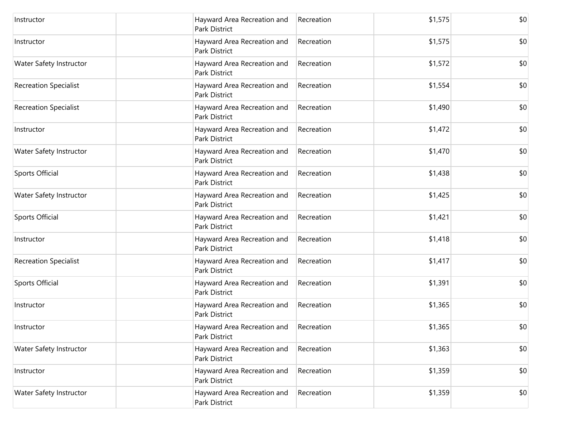| Instructor                   | Hayward Area Recreation and<br><b>Park District</b> | Recreation | \$1,575 | \$0 |
|------------------------------|-----------------------------------------------------|------------|---------|-----|
| Instructor                   | Hayward Area Recreation and<br>Park District        | Recreation | \$1,575 | \$0 |
| Water Safety Instructor      | Hayward Area Recreation and<br>Park District        | Recreation | \$1,572 | \$0 |
| <b>Recreation Specialist</b> | Hayward Area Recreation and<br>Park District        | Recreation | \$1,554 | \$0 |
| <b>Recreation Specialist</b> | Hayward Area Recreation and<br>Park District        | Recreation | \$1,490 | \$0 |
| Instructor                   | Hayward Area Recreation and<br>Park District        | Recreation | \$1,472 | \$0 |
| Water Safety Instructor      | Hayward Area Recreation and<br><b>Park District</b> | Recreation | \$1,470 | \$0 |
| Sports Official              | Hayward Area Recreation and<br>Park District        | Recreation | \$1,438 | \$0 |
| Water Safety Instructor      | Hayward Area Recreation and<br><b>Park District</b> | Recreation | \$1,425 | \$0 |
| Sports Official              | Hayward Area Recreation and<br>Park District        | Recreation | \$1,421 | \$0 |
| Instructor                   | Hayward Area Recreation and<br>Park District        | Recreation | \$1,418 | \$0 |
| <b>Recreation Specialist</b> | Hayward Area Recreation and<br>Park District        | Recreation | \$1,417 | \$0 |
| Sports Official              | Hayward Area Recreation and<br>Park District        | Recreation | \$1,391 | \$0 |
| Instructor                   | Hayward Area Recreation and<br><b>Park District</b> | Recreation | \$1,365 | \$0 |
| Instructor                   | Hayward Area Recreation and<br>Park District        | Recreation | \$1,365 | \$0 |
| Water Safety Instructor      | Hayward Area Recreation and<br>Park District        | Recreation | \$1,363 | \$0 |
| Instructor                   | Hayward Area Recreation and<br>Park District        | Recreation | \$1,359 | \$0 |
| Water Safety Instructor      | Hayward Area Recreation and<br>Park District        | Recreation | \$1,359 | \$0 |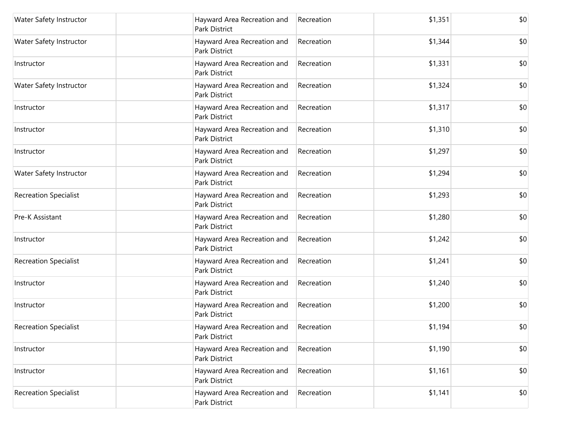| Water Safety Instructor      | Hayward Area Recreation and<br>Park District        | Recreation | \$1,351 | \$0 |
|------------------------------|-----------------------------------------------------|------------|---------|-----|
| Water Safety Instructor      | Hayward Area Recreation and<br><b>Park District</b> | Recreation | \$1,344 | \$0 |
| Instructor                   | Hayward Area Recreation and<br>Park District        | Recreation | \$1,331 | \$0 |
| Water Safety Instructor      | Hayward Area Recreation and<br>Park District        | Recreation | \$1,324 | \$0 |
| Instructor                   | Hayward Area Recreation and<br>Park District        | Recreation | \$1,317 | \$0 |
| Instructor                   | Hayward Area Recreation and<br>Park District        | Recreation | \$1,310 | \$0 |
| Instructor                   | Hayward Area Recreation and<br><b>Park District</b> | Recreation | \$1,297 | \$0 |
| Water Safety Instructor      | Hayward Area Recreation and<br>Park District        | Recreation | \$1,294 | \$0 |
| <b>Recreation Specialist</b> | Hayward Area Recreation and<br><b>Park District</b> | Recreation | \$1,293 | \$0 |
| Pre-K Assistant              | Hayward Area Recreation and<br>Park District        | Recreation | \$1,280 | \$0 |
| Instructor                   | Hayward Area Recreation and<br><b>Park District</b> | Recreation | \$1,242 | \$0 |
| <b>Recreation Specialist</b> | Hayward Area Recreation and<br>Park District        | Recreation | \$1,241 | \$0 |
| Instructor                   | Hayward Area Recreation and<br>Park District        | Recreation | \$1,240 | \$0 |
| Instructor                   | Hayward Area Recreation and<br><b>Park District</b> | Recreation | \$1,200 | \$0 |
| <b>Recreation Specialist</b> | Hayward Area Recreation and<br>Park District        | Recreation | \$1,194 | \$0 |
| Instructor                   | Hayward Area Recreation and<br>Park District        | Recreation | \$1,190 | \$0 |
| Instructor                   | Hayward Area Recreation and<br>Park District        | Recreation | \$1,161 | \$0 |
| <b>Recreation Specialist</b> | Hayward Area Recreation and<br>Park District        | Recreation | \$1,141 | \$0 |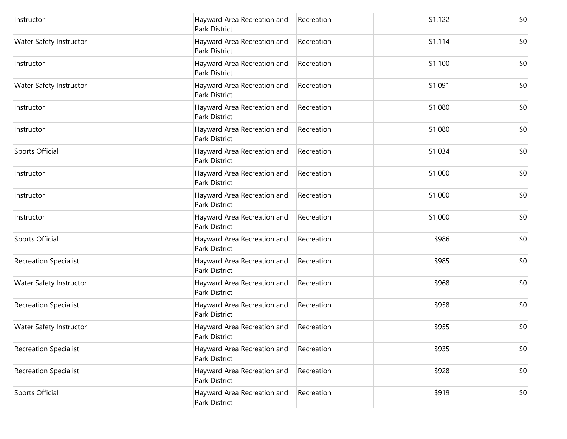| Instructor                   | Hayward Area Recreation and<br><b>Park District</b> | Recreation | \$1,122 | \$0 |
|------------------------------|-----------------------------------------------------|------------|---------|-----|
| Water Safety Instructor      | Hayward Area Recreation and<br><b>Park District</b> | Recreation | \$1,114 | \$0 |
| Instructor                   | Hayward Area Recreation and<br>Park District        | Recreation | \$1,100 | \$0 |
| Water Safety Instructor      | Hayward Area Recreation and<br>Park District        | Recreation | \$1,091 | \$0 |
| Instructor                   | Hayward Area Recreation and<br><b>Park District</b> | Recreation | \$1,080 | \$0 |
| Instructor                   | Hayward Area Recreation and<br>Park District        | Recreation | \$1,080 | \$0 |
| Sports Official              | Hayward Area Recreation and<br><b>Park District</b> | Recreation | \$1,034 | \$0 |
| Instructor                   | Hayward Area Recreation and<br>Park District        | Recreation | \$1,000 | \$0 |
| Instructor                   | Hayward Area Recreation and<br><b>Park District</b> | Recreation | \$1,000 | \$0 |
| Instructor                   | Hayward Area Recreation and<br><b>Park District</b> | Recreation | \$1,000 | \$0 |
| Sports Official              | Hayward Area Recreation and<br>Park District        | Recreation | \$986   | \$0 |
| <b>Recreation Specialist</b> | Hayward Area Recreation and<br><b>Park District</b> | Recreation | \$985   | \$0 |
| Water Safety Instructor      | Hayward Area Recreation and<br>Park District        | Recreation | \$968   | \$0 |
| <b>Recreation Specialist</b> | Hayward Area Recreation and<br><b>Park District</b> | Recreation | \$958   | \$0 |
| Water Safety Instructor      | Hayward Area Recreation and<br>Park District        | Recreation | \$955   | \$0 |
| <b>Recreation Specialist</b> | Hayward Area Recreation and<br>Park District        | Recreation | \$935   | \$0 |
| <b>Recreation Specialist</b> | Hayward Area Recreation and<br>Park District        | Recreation | \$928   | \$0 |
| Sports Official              | Hayward Area Recreation and<br>Park District        | Recreation | \$919   | \$0 |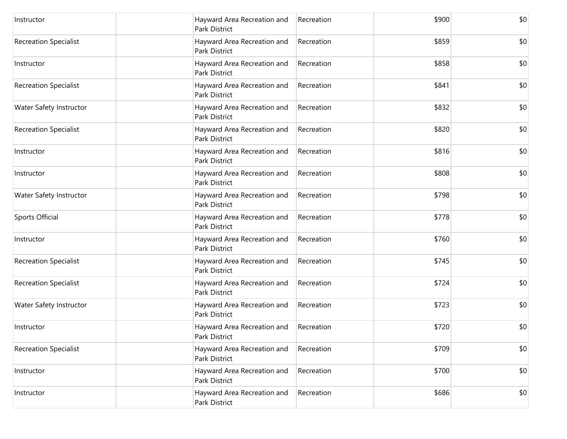| Instructor                   | Hayward Area Recreation and<br><b>Park District</b> | Recreation | \$900 | \$0 |
|------------------------------|-----------------------------------------------------|------------|-------|-----|
| <b>Recreation Specialist</b> | Hayward Area Recreation and<br>Park District        | Recreation | \$859 | \$0 |
| Instructor                   | Hayward Area Recreation and<br>Park District        | Recreation | \$858 | \$0 |
| <b>Recreation Specialist</b> | Hayward Area Recreation and<br>Park District        | Recreation | \$841 | \$0 |
| Water Safety Instructor      | Hayward Area Recreation and<br><b>Park District</b> | Recreation | \$832 | \$0 |
| <b>Recreation Specialist</b> | Hayward Area Recreation and<br><b>Park District</b> | Recreation | \$820 | \$0 |
| Instructor                   | Hayward Area Recreation and<br><b>Park District</b> | Recreation | \$816 | \$0 |
| Instructor                   | Hayward Area Recreation and<br>Park District        | Recreation | \$808 | \$0 |
| Water Safety Instructor      | Hayward Area Recreation and<br><b>Park District</b> | Recreation | \$798 | \$0 |
| Sports Official              | Hayward Area Recreation and<br>Park District        | Recreation | \$778 | \$0 |
| Instructor                   | Hayward Area Recreation and<br>Park District        | Recreation | \$760 | \$0 |
| <b>Recreation Specialist</b> | Hayward Area Recreation and<br>Park District        | Recreation | \$745 | \$0 |
| <b>Recreation Specialist</b> | Hayward Area Recreation and<br>Park District        | Recreation | \$724 | \$0 |
| Water Safety Instructor      | Hayward Area Recreation and<br><b>Park District</b> | Recreation | \$723 | \$0 |
| Instructor                   | Hayward Area Recreation and<br>Park District        | Recreation | \$720 | \$0 |
| <b>Recreation Specialist</b> | Hayward Area Recreation and<br>Park District        | Recreation | \$709 | \$0 |
| Instructor                   | Hayward Area Recreation and<br>Park District        | Recreation | \$700 | \$0 |
| Instructor                   | Hayward Area Recreation and<br>Park District        | Recreation | \$686 | \$0 |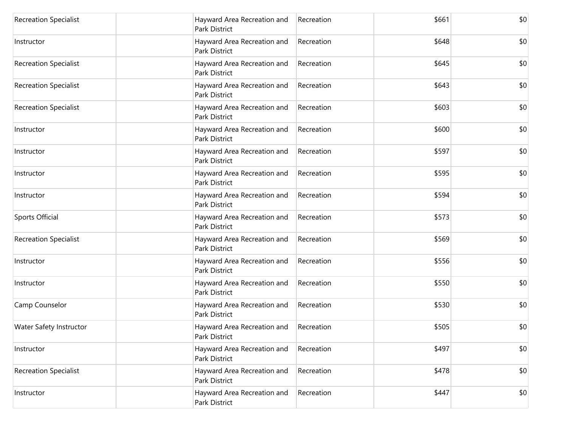| <b>Recreation Specialist</b> | Hayward Area Recreation and<br>Park District        | Recreation | \$661 | \$0 |
|------------------------------|-----------------------------------------------------|------------|-------|-----|
| Instructor                   | Hayward Area Recreation and<br><b>Park District</b> | Recreation | \$648 | \$0 |
| <b>Recreation Specialist</b> | Hayward Area Recreation and<br>Park District        | Recreation | \$645 | \$0 |
| <b>Recreation Specialist</b> | Hayward Area Recreation and<br>Park District        | Recreation | \$643 | \$0 |
| <b>Recreation Specialist</b> | Hayward Area Recreation and<br><b>Park District</b> | Recreation | \$603 | \$0 |
| Instructor                   | Hayward Area Recreation and<br>Park District        | Recreation | \$600 | \$0 |
| Instructor                   | Hayward Area Recreation and<br><b>Park District</b> | Recreation | \$597 | \$0 |
| Instructor                   | Hayward Area Recreation and<br>Park District        | Recreation | \$595 | \$0 |
| Instructor                   | Hayward Area Recreation and<br><b>Park District</b> | Recreation | \$594 | \$0 |
| Sports Official              | Hayward Area Recreation and<br>Park District        | Recreation | \$573 | \$0 |
| <b>Recreation Specialist</b> | Hayward Area Recreation and<br><b>Park District</b> | Recreation | \$569 | \$0 |
| Instructor                   | Hayward Area Recreation and<br>Park District        | Recreation | \$556 | \$0 |
| Instructor                   | Hayward Area Recreation and<br>Park District        | Recreation | \$550 | \$0 |
| Camp Counselor               | Hayward Area Recreation and<br><b>Park District</b> | Recreation | \$530 | \$0 |
| Water Safety Instructor      | Hayward Area Recreation and<br>Park District        | Recreation | \$505 | \$0 |
| Instructor                   | Hayward Area Recreation and<br>Park District        | Recreation | \$497 | \$0 |
| <b>Recreation Specialist</b> | Hayward Area Recreation and<br>Park District        | Recreation | \$478 | \$0 |
| Instructor                   | Hayward Area Recreation and<br>Park District        | Recreation | \$447 | \$0 |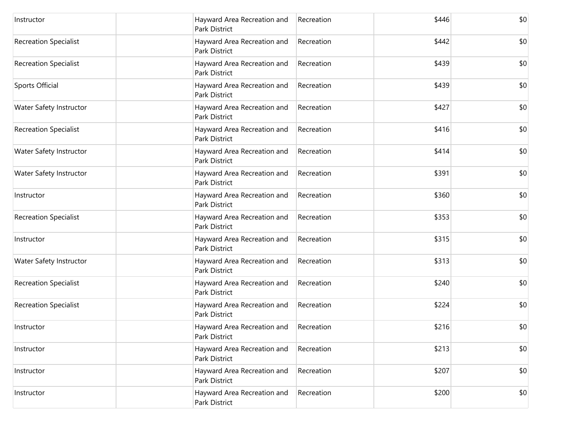| Instructor                   | Hayward Area Recreation and<br>Park District        | Recreation | \$446 | \$0 |
|------------------------------|-----------------------------------------------------|------------|-------|-----|
| <b>Recreation Specialist</b> | Hayward Area Recreation and<br><b>Park District</b> | Recreation | \$442 | \$0 |
| <b>Recreation Specialist</b> | Hayward Area Recreation and<br>Park District        | Recreation | \$439 | \$0 |
| Sports Official              | Hayward Area Recreation and<br>Park District        | Recreation | \$439 | \$0 |
| Water Safety Instructor      | Hayward Area Recreation and<br>Park District        | Recreation | \$427 | \$0 |
| <b>Recreation Specialist</b> | Hayward Area Recreation and<br>Park District        | Recreation | \$416 | \$0 |
| Water Safety Instructor      | Hayward Area Recreation and<br><b>Park District</b> | Recreation | \$414 | \$0 |
| Water Safety Instructor      | Hayward Area Recreation and<br>Park District        | Recreation | \$391 | \$0 |
| Instructor                   | Hayward Area Recreation and<br><b>Park District</b> | Recreation | \$360 | \$0 |
| <b>Recreation Specialist</b> | Hayward Area Recreation and<br>Park District        | Recreation | \$353 | \$0 |
| Instructor                   | Hayward Area Recreation and<br><b>Park District</b> | Recreation | \$315 | \$0 |
| Water Safety Instructor      | Hayward Area Recreation and<br>Park District        | Recreation | \$313 | \$0 |
| <b>Recreation Specialist</b> | Hayward Area Recreation and<br>Park District        | Recreation | \$240 | \$0 |
| <b>Recreation Specialist</b> | Hayward Area Recreation and<br><b>Park District</b> | Recreation | \$224 | \$0 |
| Instructor                   | Hayward Area Recreation and<br>Park District        | Recreation | \$216 | \$0 |
| Instructor                   | Hayward Area Recreation and<br>Park District        | Recreation | \$213 | \$0 |
| Instructor                   | Hayward Area Recreation and<br>Park District        | Recreation | \$207 | \$0 |
| Instructor                   | Hayward Area Recreation and<br>Park District        | Recreation | \$200 | \$0 |